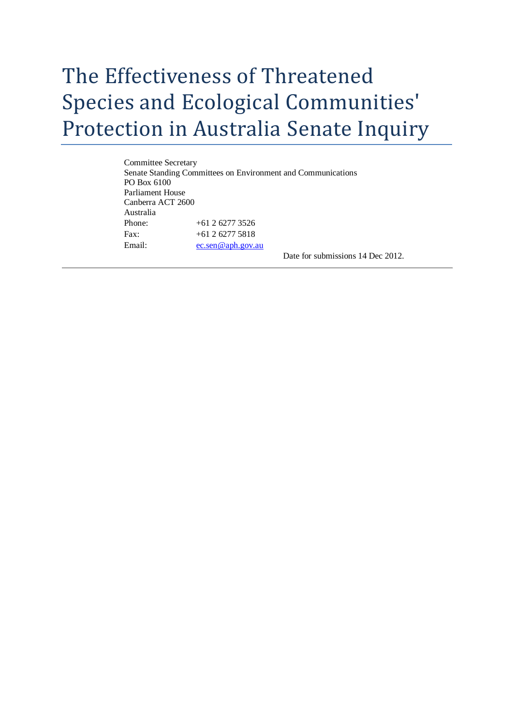## The Effectiveness of Threatened Species and Ecological Communities' Protection in Australia Senate Inquiry

Committee Secretary Senate Standing Committees on Environment and Communications PO Box 6100 Parliament House Canberra ACT 2600 Australia Phone: +61 2 6277 3526 Fax: +61 2 6277 5818 Email: [ec.sen@aph.gov.au](mailto:ec.sen@aph.gov.au)

Date for submissions 14 Dec 2012.